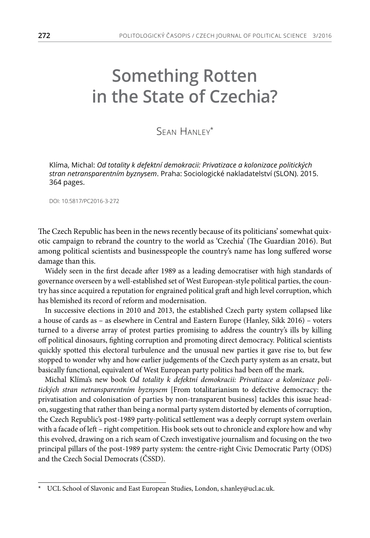# **Something Rotten in the State of Czechia?**

# Sean Hanley\*

Klíma, Michal: *Od totality k defektní demokracii: Privatizace a kolonizace politických stran netransparentním byznysem*. Praha: Sociologické nakladatelství (SLON). 2015. 364 pages.

DOI: 10.5817/PC2016-3-272

The Czech Republic has been in the news recently because of its politicians' somewhat quixotic campaign to rebrand the country to the world as 'Czechia' (The Guardian 2016). But among political scientists and businesspeople the country's name has long suffered worse damage than this.

Widely seen in the first decade after 1989 as a leading democratiser with high standards of governance overseen by a well-established set of West European-style political parties, the country has since acquired a reputation for engrained political graft and high level corruption, which has blemished its record of reform and modernisation.

In successive elections in 2010 and 2013, the established Czech party system collapsed like a house of cards as – as elsewhere in Central and Eastern Europe (Hanley, Sikk 2016) – voters turned to a diverse array of protest parties promising to address the country's ills by killing off political dinosaurs, fighting corruption and promoting direct democracy. Political scientists quickly spotted this electoral turbulence and the unusual new parties it gave rise to, but few stopped to wonder why and how earlier judgements of the Czech party system as an ersatz, but basically functional, equivalent of West European party politics had been off the mark.

Michal Klíma's new book *Od totality k defektní demokracii: Privatizace a kolonizace politických stran netransparentním byznysem* [From totalitarianism to defective democracy: the privatisation and colonisation of parties by non-transparent business] tackles this issue headon, suggesting that rather than being a normal party system distorted by elements of corruption, the Czech Republic's post-1989 party-political settlement was a deeply corrupt system overlain with a facade of left – right competition. His book sets out to chronicle and explore how and why this evolved, drawing on a rich seam of Czech investigative journalism and focusing on the two principal pillars of the post-1989 party system: the centre-right Civic Democratic Party (ODS) and the Czech Social Democrats (ČSSD).

UCL School of Slavonic and East European Studies, London, s.hanley@ucl.ac.uk.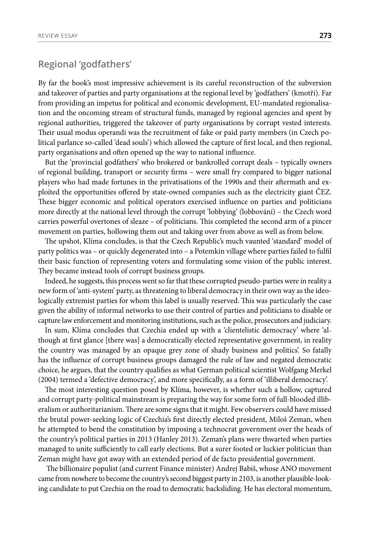### **Regional 'godfathers'**

By far the book's most impressive achievement is its careful reconstruction of the subversion and takeover of parties and party organisations at the regional level by 'godfathers' (kmotři). Far from providing an impetus for political and economic development, EU-mandated regionalisation and the oncoming stream of structural funds, managed by regional agencies and spent by regional authorities, triggered the takeover of party organisations by corrupt vested interests. Their usual modus operandi was the recruitment of fake or paid party members (in Czech political parlance so-called 'dead souls') which allowed the capture of first local, and then regional, party organisations and often opened up the way to national influence.

But the 'provincial godfathers' who brokered or bankrolled corrupt deals – typically owners of regional building, transport or security firms – were small fry compared to bigger national players who had made fortunes in the privatisations of the 1990s and their aftermath and exploited the opportunities offered by state-owned companies such as the electricity giant ČEZ. These bigger economic and political operators exercised influence on parties and politicians more directly at the national level through the corrupt 'lobbying' (lobbování) – the Czech word carries powerful overtones of sleaze – of politicians. This completed the second arm of a pincer movement on parties, hollowing them out and taking over from above as well as from below.

The upshot, Klíma concludes, is that the Czech Republic's much vaunted 'standard' model of party politics was – or quickly degenerated into – a Potemkin village where parties failed to fulfil their basic function of representing voters and formulating some vision of the public interest. They became instead tools of corrupt business groups.

Indeed, he suggests, this process went so far that these corrupted pseudo-parties were in reality a new form of 'anti-system' party, as threatening to liberal democracy in their own way as the ideologically extremist parties for whom this label is usually reserved. This was particularly the case given the ability of informal networks to use their control of parties and politicians to disable or capture law enforcement and monitoring institutions, such as the police, prosecutors and judiciary.

In sum, Klíma concludes that Czechia ended up with a 'clientelistic democracy' where 'although at first glance [there was] a democratically elected representative government, in reality the country was managed by an opaque grey zone of shady business and politics'. So fatally has the influence of corrupt business groups damaged the rule of law and negated democratic choice, he argues, that the country qualifies as what German political scientist Wolfgang Merkel (2004) termed a 'defective democracy', and more specifically, as a form of 'illiberal democracy'.

The most interesting question posed by Klíma, however, is whether such a hollow, captured and corrupt party-political mainstream is preparing the way for some form of full-blooded illiberalism or authoritarianism. There are some signs that it might. Few observers could have missed the brutal power-seeking logic of Czechia's first directly elected president, Miloš Zeman, when he attempted to bend the constitution by imposing a technocrat government over the heads of the country's political parties in 2013 (Hanley 2013). Zeman's plans were thwarted when parties managed to unite sufficiently to call early elections. But a surer footed or luckier politician than Zeman might have got away with an extended period of de facto presidential government.

 The billionaire populist (and current Finance minister) Andrej Babiš, whose ANO movement came from nowhere to become the country's second biggest party in 2103, is another plausible-looking candidate to put Czechia on the road to democratic backsliding. He has electoral momentum,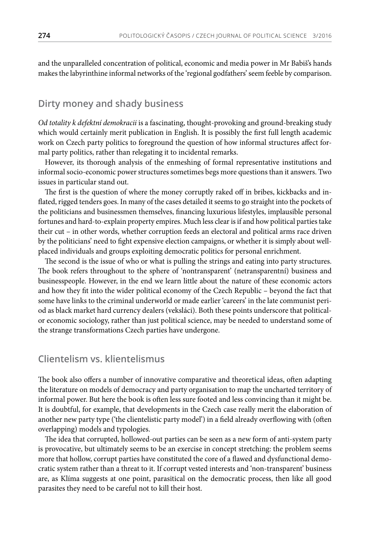and the unparalleled concentration of political, economic and media power in Mr Babiš's hands makes the labyrinthine informal networks of the 'regional godfathers' seem feeble by comparison.

#### **Dirty money and shady business**

*Od totality k defektní demokracii* is a fascinating, thought-provoking and ground-breaking study which would certainly merit publication in English. It is possibly the first full length academic work on Czech party politics to foreground the question of how informal structures affect formal party politics, rather than relegating it to incidental remarks.

However, its thorough analysis of the enmeshing of formal representative institutions and informal socio-economic power structures sometimes begs more questions than it answers. Two issues in particular stand out.

The first is the question of where the money corruptly raked off in bribes, kickbacks and inflated, rigged tenders goes. In many of the cases detailed it seems to go straight into the pockets of the politicians and businessmen themselves, financing luxurious lifestyles, implausible personal fortunes and hard-to-explain property empires. Much less clear is if and how political parties take their cut – in other words, whether corruption feeds an electoral and political arms race driven by the politicians' need to fight expensive election campaigns, or whether it is simply about wellplaced individuals and groups exploiting democratic politics for personal enrichment.

The second is the issue of who or what is pulling the strings and eating into party structures. The book refers throughout to the sphere of 'nontransparent' (netransparentní) business and businesspeople. However, in the end we learn little about the nature of these economic actors and how they fit into the wider political economy of the Czech Republic – beyond the fact that some have links to the criminal underworld or made earlier 'careers' in the late communist period as black market hard currency dealers (veksláci). Both these points underscore that politicalor economic sociology, rather than just political science, may be needed to understand some of the strange transformations Czech parties have undergone.

#### **Clientelism vs. klientelismus**

The book also offers a number of innovative comparative and theoretical ideas, often adapting the literature on models of democracy and party organisation to map the uncharted territory of informal power. But here the book is often less sure footed and less convincing than it might be. It is doubtful, for example, that developments in the Czech case really merit the elaboration of another new party type ('the clientelistic party model') in a field already overflowing with (often overlapping) models and typologies.

The idea that corrupted, hollowed-out parties can be seen as a new form of anti-system party is provocative, but ultimately seems to be an exercise in concept stretching: the problem seems more that hollow, corrupt parties have constituted the core of a flawed and dysfunctional democratic system rather than a threat to it. If corrupt vested interests and 'non-transparent' business are, as Klíma suggests at one point, parasitical on the democratic process, then like all good parasites they need to be careful not to kill their host.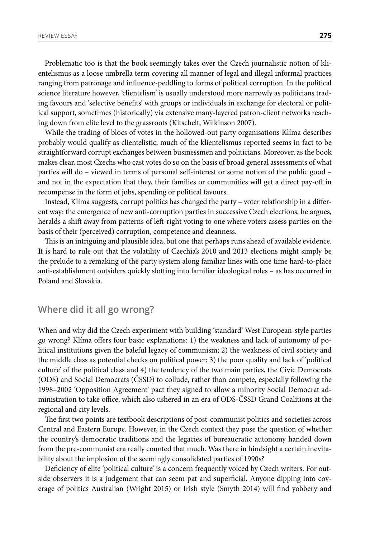Problematic too is that the book seemingly takes over the Czech journalistic notion of klientelismus as a loose umbrella term covering all manner of legal and illegal informal practices ranging from patronage and influence-peddling to forms of political corruption. In the political science literature however, 'clientelism' is usually understood more narrowly as politicians trading favours and 'selective benefits' with groups or individuals in exchange for electoral or political support, sometimes (historically) via extensive many-layered patron-client networks reaching down from elite level to the grassroots (Kitschelt, Wilkinson 2007).

While the trading of blocs of votes in the hollowed-out party organisations Klíma describes probably would qualify as clientelistic, much of the klientelismus reported seems in fact to be straightforward corrupt exchanges between businessmen and politicians. Moreover, as the book makes clear, most Czechs who cast votes do so on the basis of broad general assessments of what parties will do – viewed in terms of personal self-interest or some notion of the public good – and not in the expectation that they, their families or communities will get a direct pay-off in recompense in the form of jobs, spending or political favours.

Instead, Klíma suggests, corrupt politics has changed the party – voter relationship in a different way: the emergence of new anti-corruption parties in successive Czech elections, he argues, heralds a shift away from patterns of left-right voting to one where voters assess parties on the basis of their (perceived) corruption, competence and cleanness.

This is an intriguing and plausible idea, but one that perhaps runs ahead of available evidence. It is hard to rule out that the volatility of Czechia's 2010 and 2013 elections might simply be the prelude to a remaking of the party system along familiar lines with one time hard-to-place anti-establishment outsiders quickly slotting into familiar ideological roles – as has occurred in Poland and Slovakia.

## **Where did it all go wrong?**

When and why did the Czech experiment with building 'standard' West European-style parties go wrong? Klíma offers four basic explanations: 1) the weakness and lack of autonomy of political institutions given the baleful legacy of communism; 2) the weakness of civil society and the middle class as potential checks on political power; 3) the poor quality and lack of 'political culture' of the political class and 4) the tendency of the two main parties, the Civic Democrats (ODS) and Social Democrats (ČSSD) to collude, rather than compete, especially following the 1998–2002 'Opposition Agreement' pact they signed to allow a minority Social Democrat administration to take office, which also ushered in an era of ODS-ČSSD Grand Coalitions at the regional and city levels.

The first two points are textbook descriptions of post-communist politics and societies across Central and Eastern Europe. However, in the Czech context they pose the question of whether the country's democratic traditions and the legacies of bureaucratic autonomy handed down from the pre-communist era really counted that much. Was there in hindsight a certain inevitability about the implosion of the seemingly consolidated parties of 1990s?

Deficiency of elite 'political culture' is a concern frequently voiced by Czech writers. For outside observers it is a judgement that can seem pat and superficial. Anyone dipping into coverage of politics Australian (Wright 2015) or Irish style (Smyth 2014) will find yobbery and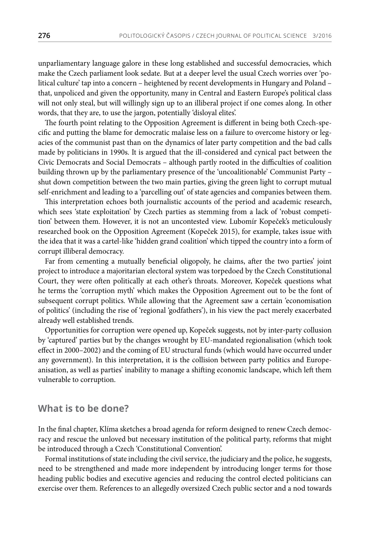unparliamentary language galore in these long established and successful democracies, which make the Czech parliament look sedate. But at a deeper level the usual Czech worries over 'political culture' tap into a concern – heightened by recent developments in Hungary and Poland – that, unpoliced and given the opportunity, many in Central and Eastern Europe's political class will not only steal, but will willingly sign up to an illiberal project if one comes along. In other words, that they are, to use the jargon, potentially 'disloyal elites'.

The fourth point relating to the Opposition Agreement is different in being both Czech-specific and putting the blame for democratic malaise less on a failure to overcome history or legacies of the communist past than on the dynamics of later party competition and the bad calls made by politicians in 1990s. It is argued that the ill-considered and cynical pact between the Civic Democrats and Social Democrats – although partly rooted in the difficulties of coalition building thrown up by the parliamentary presence of the 'uncoalitionable' Communist Party – shut down competition between the two main parties, giving the green light to corrupt mutual self-enrichment and leading to a 'parcelling out' of state agencies and companies between them.

This interpretation echoes both journalistic accounts of the period and academic research, which sees 'state exploitation' by Czech parties as stemming from a lack of 'robust competition' between them. However, it is not an uncontested view. Lubomír Kopeček's meticulously researched book on the Opposition Agreement (Kopeček 2015), for example, takes issue with the idea that it was a cartel-like 'hidden grand coalition' which tipped the country into a form of corrupt illiberal democracy.

Far from cementing a mutually beneficial oligopoly, he claims, after the two parties' joint project to introduce a majoritarian electoral system was torpedoed by the Czech Constitutional Court, they were often politically at each other's throats. Moreover, Kopeček questions what he terms the 'corruption myth' which makes the Opposition Agreement out to be the font of subsequent corrupt politics. While allowing that the Agreement saw a certain 'economisation of politics' (including the rise of 'regional 'godfathers'), in his view the pact merely exacerbated already well established trends.

Opportunities for corruption were opened up, Kopeček suggests, not by inter-party collusion by 'captured' parties but by the changes wrought by EU-mandated regionalisation (which took effect in 2000–2002) and the coming of EU structural funds (which would have occurred under any government). In this interpretation, it is the collision between party politics and Europeanisation, as well as parties' inability to manage a shifting economic landscape, which left them vulnerable to corruption.

#### **What is to be done?**

In the final chapter, Klíma sketches a broad agenda for reform designed to renew Czech democracy and rescue the unloved but necessary institution of the political party, reforms that might be introduced through a Czech 'Constitutional Convention'.

Formal institutions of state including the civil service, the judiciary and the police, he suggests, need to be strengthened and made more independent by introducing longer terms for those heading public bodies and executive agencies and reducing the control elected politicians can exercise over them. References to an allegedly oversized Czech public sector and a nod towards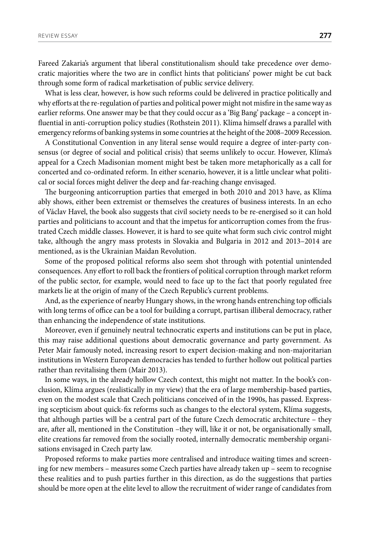Fareed Zakaria's argument that liberal constitutionalism should take precedence over democratic majorities where the two are in conflict hints that politicians' power might be cut back through some form of radical marketisation of public service delivery.

What is less clear, however, is how such reforms could be delivered in practice politically and why efforts at the re-regulation of parties and political power might not misfire in the same way as earlier reforms. One answer may be that they could occur as a 'Big Bang' package – a concept influential in anti-corruption policy studies [\(Rothstein](https://www.researchgate.net/profile/Bo_Rothstein) 2011). Klíma himself draws a parallel with emergency reforms of banking systems in some countries at the height of the 2008–2009 Recession.

A Constitutional Convention in any literal sense would require a degree of inter-party consensus (or degree of social and political crisis) that seems unlikely to occur. However, Klíma's appeal for a Czech Madisonian moment might best be taken more metaphorically as a call for concerted and co-ordinated reform. In either scenario, however, it is a little unclear what political or social forces might deliver the deep and far-reaching change envisaged.

The burgeoning anticorruption parties that emerged in both 2010 and 2013 have, as Klíma ably shows, either been extremist or themselves the creatures of business interests. In an echo of Václav Havel, the book also suggests that civil society needs to be re-energised so it can hold parties and politicians to account and that the impetus for anticorruption comes from the frustrated Czech middle classes. However, it is hard to see quite what form such civic control might take, although the angry mass protests in Slovakia and Bulgaria in 2012 and 2013–2014 are mentioned, as is the Ukrainian Maidan Revolution.

Some of the proposed political reforms also seem shot through with potential unintended consequences. Any effort to roll back the frontiers of political corruption through market reform of the public sector, for example, would need to face up to the fact that poorly regulated free markets lie at the origin of many of the Czech Republic's current problems.

And, as the experience of nearby Hungary shows, in the wrong hands entrenching top officials with long terms of office can be a tool for building a corrupt, partisan illiberal democracy, rather than enhancing the independence of state institutions.

Moreover, even if genuinely neutral technocratic experts and institutions can be put in place, this may raise additional questions about democratic governance and party government. As Peter Mair famously noted, increasing resort to expert decision-making and non-majoritarian institutions in Western European democracies has tended to further hollow out political parties rather than revitalising them (Mair 2013).

In some ways, in the already hollow Czech context, this might not matter. In the book's conclusion, Klíma argues (realistically in my view) that the era of large membership-based parties, even on the modest scale that Czech politicians conceived of in the 1990s, has passed. Expressing scepticism about quick-fix reforms such as changes to the electoral system, Klíma suggests, that although parties will be a central part of the future Czech democratic architecture – they are, after all, mentioned in the Constitution –they will, like it or not, be organisationally small, elite creations far removed from the socially rooted, internally democratic membership organisations envisaged in Czech party law.

Proposed reforms to make parties more centralised and introduce waiting times and screening for new members – measures some Czech parties have already taken up – seem to recognise these realities and to push parties further in this direction, as do the suggestions that parties should be more open at the elite level to allow the recruitment of wider range of candidates from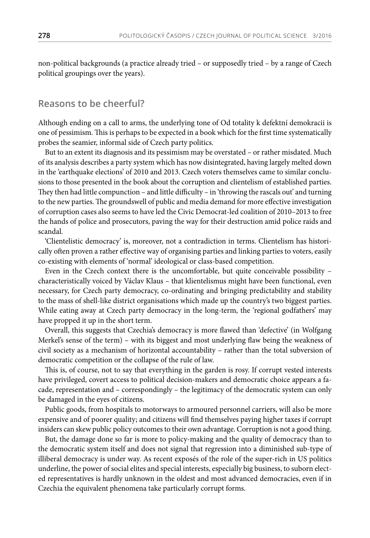non-political backgrounds (a practice already tried – or supposedly tried – by a range of Czech political groupings over the years).

#### **Reasons to be cheerful?**

Although ending on a call to arms, the underlying tone of Od totality k defektní demokracii is one of pessimism. This is perhaps to be expected in a book which for the first time systematically probes the seamier, informal side of Czech party politics.

But to an extent its diagnosis and its pessimism may be overstated – or rather misdated. Much of its analysis describes a party system which has now disintegrated, having largely melted down in the 'earthquake elections' of 2010 and 2013. Czech voters themselves came to similar conclusions to those presented in the book about the corruption and clientelism of established parties. They then had little compunction – and little difficulty – in 'throwing the rascals out' and turning to the new parties. The groundswell of public and media demand for more effective investigation of corruption cases also seems to have led the Civic Democrat-led coalition of 2010–2013 to free the hands of police and prosecutors, paving the way for their destruction amid police raids and scandal.

'Clientelistic democracy' is, moreover, not a contradiction in terms. Clientelism has historically often proven a rather effective way of organising parties and linking parties to voters, easily co-existing with elements of 'normal' ideological or class-based competition.

Even in the Czech context there is the uncomfortable, but quite conceivable possibility – characteristically voiced by Václav Klaus – that klientelismus might have been functional, even necessary, for Czech party democracy, co-ordinating and bringing predictability and stability to the mass of shell-like district organisations which made up the country's two biggest parties. While eating away at Czech party democracy in the long-term, the 'regional godfathers' may have propped it up in the short term.

Overall, this suggests that Czechia's democracy is more flawed than 'defective' (in Wolfgang Merkel's sense of the term) – with its biggest and most underlying flaw being the weakness of civil society as a mechanism of horizontal accountability – rather than the total subversion of democratic competition or the collapse of the rule of law.

This is, of course, not to say that everything in the garden is rosy. If corrupt vested interests have privileged, covert access to political decision-makers and democratic choice appears a facade, representation and – correspondingly – the legitimacy of the democratic system can only be damaged in the eyes of citizens.

Public goods, from hospitals to motorways to armoured personnel carriers, will also be more expensive and of poorer quality; and citizens will find themselves paying higher taxes if corrupt insiders can skew public policy outcomes to their own advantage. Corruption is not a good thing.

But, the damage done so far is more to policy-making and the quality of democracy than to the democratic system itself and does not signal that regression into a diminished sub-type of illiberal democracy is under way. As recent exposés of the role of the super-rich in US politics underline, the power of social elites and special interests, especially big business, to suborn elected representatives is hardly unknown in the oldest and most advanced democracies, even if in Czechia the equivalent phenomena take particularly corrupt forms.